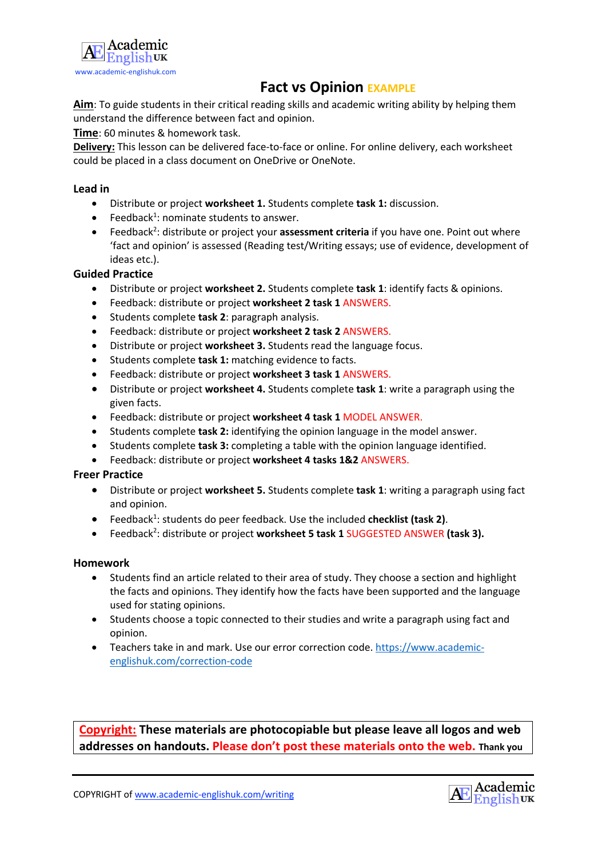

## **Fact vs Opinion EXAMPLE**

Aim: To guide students in their critical reading skills and academic writing ability by helping them understand the difference between fact and opinion.

**Time**: 60 minutes & homework task.

**Delivery:** This lesson can be delivered face-to-face or online. For online delivery, each worksheet could be placed in a class document on OneDrive or OneNote.

### **Lead in**

- Distribute or project **worksheet 1.** Students complete **task 1:** discussion.
- $\bullet$  Feedback<sup>1</sup>: nominate students to answer.
- Feedback<sup>2</sup>: distribute or project your assessment criteria if you have one. Point out where 'fact and opinion' is assessed (Reading test/Writing essays; use of evidence, development of ideas etc.).

### **Guided Practice**

- Distribute or project **worksheet 2.** Students complete **task 1**: identify facts & opinions.
- Feedback: distribute or project **worksheet 2 task 1** ANSWERS.
- Students complete **task 2**: paragraph analysis.
- Feedback: distribute or project **worksheet 2 task 2** ANSWERS.
- Distribute or project **worksheet 3.** Students read the language focus.
- Students complete **task 1:** matching evidence to facts.
- Feedback: distribute or project **worksheet 3 task 1** ANSWERS.
- Distribute or project **worksheet 4.** Students complete **task 1**: write a paragraph using the given facts.
- Feedback: distribute or project **worksheet 4 task 1** MODEL ANSWER.
- Students complete **task 2:** identifying the opinion language in the model answer.
- Students complete **task 3:** completing a table with the opinion language identified.
- Feedback: distribute or project **worksheet 4 tasks 1&2** ANSWERS.

#### **Freer Practice**

- Distribute or project **worksheet 5.** Students complete **task 1**: writing a paragraph using fact and opinion.
- **•** Feedback<sup>1</sup>: students do peer feedback. Use the included checklist (task 2).
- Feedback<sup>2</sup>: distribute or project worksheet 5 task 1 SUGGESTED ANSWER (task 3).

#### **Homework**

- Students find an article related to their area of study. They choose a section and highlight the facts and opinions. They identify how the facts have been supported and the language used for stating opinions.
- Students choose a topic connected to their studies and write a paragraph using fact and opinion.
- Teachers take in and mark. Use our error correction code. https://www.academicenglishuk.com/correction-code

**Copyright: These materials are photocopiable but please leave all logos and web addresses on handouts. Please don't post these materials onto the web. Thank you**

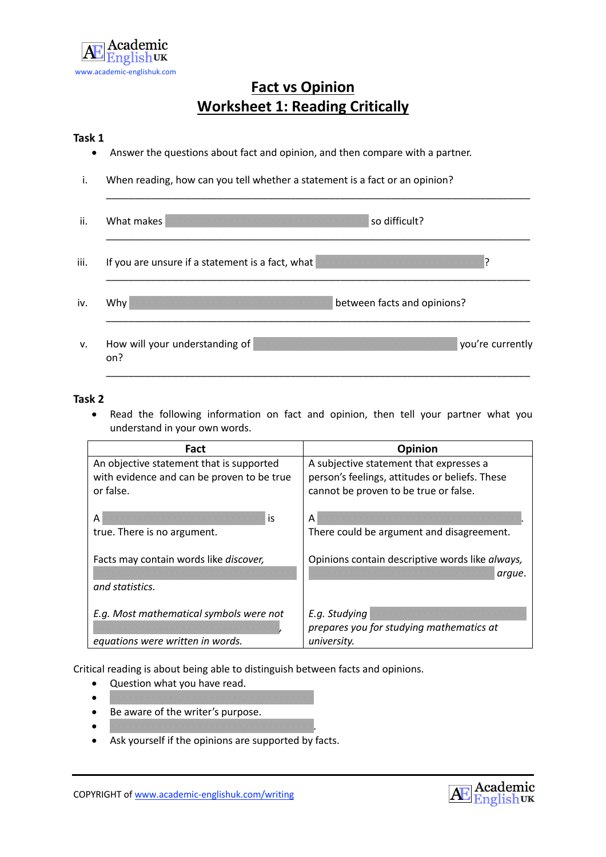

# **Fact vs Opinion Worksheet 1: Reading Critically**

#### **Task 1**

- Answer the questions about fact and opinion, and then compare with a partner.
- i. When reading, how can you tell whether a statement is a fact or an opinion?

| ii.  | What makes<br>so difficult?                               |
|------|-----------------------------------------------------------|
| iii. | If you are unsure if a statement is a fact, what          |
| iv.  | $W$ hy<br>between facts and opinions?                     |
| v.   | How will your understanding of<br>you're currently<br>on? |

\_\_\_\_\_\_\_\_\_\_\_\_\_\_\_\_\_\_\_\_\_\_\_\_\_\_\_\_\_\_\_\_\_\_\_\_\_\_\_\_\_\_\_\_\_\_\_\_\_\_\_\_\_\_\_\_\_\_\_\_\_\_\_\_\_\_\_\_\_\_\_\_\_\_\_\_

### **Task 2**

• Read the following information on fact and opinion, then tell your partner what you understand in your own words.

| Fact                                           | Opinion                                         |
|------------------------------------------------|-------------------------------------------------|
| An objective statement that is supported       | A subjective statement that expresses a         |
| with evidence and can be proven to be true     | person's feelings, attitudes or beliefs. These  |
| or false.                                      | cannot be proven to be true or false.           |
|                                                |                                                 |
| is<br>A                                        | Α                                               |
| true. There is no argument.                    | There could be argument and disagreement.       |
|                                                |                                                 |
| Facts may contain words like <i>discover</i> , | Opinions contain descriptive words like always, |
|                                                | arque.                                          |
| and statistics.                                |                                                 |
|                                                |                                                 |
| E.g. Most mathematical symbols were not        | E.g. Studying                                   |
|                                                | prepares you for studying mathematics at        |
| equations were written in words.               | university.                                     |

Critical reading is about being able to distinguish between facts and opinions.

- Question what you have read.
- XXXXXXXXXXXXXXXXXXXXXXXXXXXXXXXXXXX
- Be aware of the writer's purpose.
- XXXXXXXXXXXXXXXXXXXXXXXXXXXXXXXXXXX.
- Ask yourself if the opinions are supported by facts.

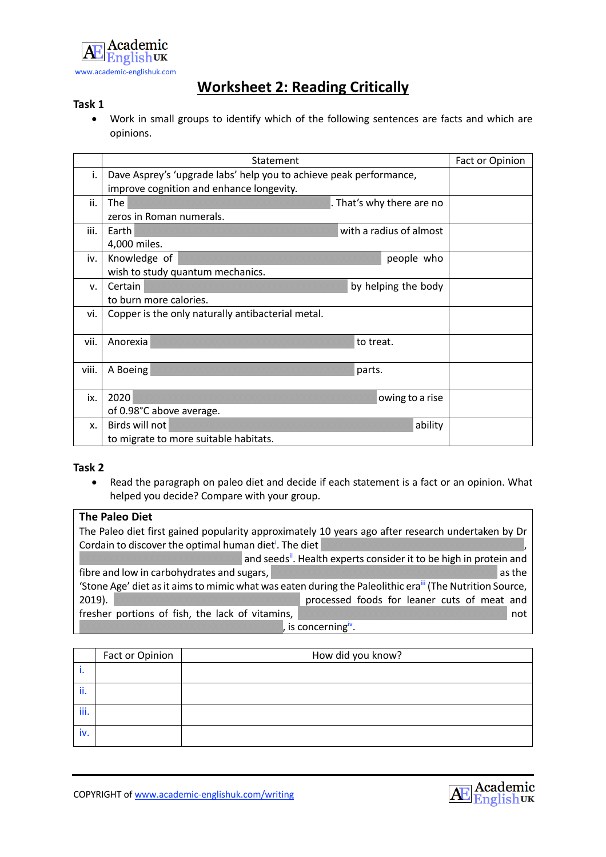

# **Worksheet 2: Reading Critically**

### **Task 1**

• Work in small groups to identify which of the following sentences are facts and which are opinions.

|             | Statement                                                                                                      |           |                           | Fact or Opinion |
|-------------|----------------------------------------------------------------------------------------------------------------|-----------|---------------------------|-----------------|
| i.          | Dave Asprey's 'upgrade labs' help you to achieve peak performance,<br>improve cognition and enhance longevity. |           |                           |                 |
| ii.         | The<br>zeros in Roman numerals.                                                                                |           | . That's why there are no |                 |
| iii.        | Earth<br>4,000 miles.                                                                                          |           | with a radius of almost   |                 |
| iv.         | Knowledge of<br>wish to study quantum mechanics.                                                               |           | people who                |                 |
| $V_{\rm r}$ | Certain<br>to burn more calories.                                                                              |           | by helping the body       |                 |
| vi.         | Copper is the only naturally antibacterial metal.                                                              |           |                           |                 |
| vii.        | Anorexia                                                                                                       | to treat. |                           |                 |
| viii.       | A Boeing                                                                                                       | parts.    |                           |                 |
| ix.         | 2020<br>of 0.98°C above average.                                                                               |           | owing to a rise           |                 |
| X.          | Birds will not<br>to migrate to more suitable habitats.                                                        |           | ability                   |                 |

### **Task 2**

• Read the paragraph on paleo diet and decide if each statement is a fact or an opinion. What helped you decide? Compare with your group.

#### **The Paleo Diet**

The Paleo diet first gained popularity approximately 10 years ago after research undertaken by Dr Cordain to discover the optimal human dieti . The diet XXXXXXXXXXXXXXXXXXXXXXXXXXXXXXXXXXX, and seeds<sup>ii</sup>. Health experts consider it to be high in protein and fibre and low in carbohydrates and sugars, XXXXXXXXXXXXXXXXXXXXXXXXXXXXXXXXXXXXXXX as the 'Stone Age' diet as it aims to mimic what was eaten during the Paleolithic era<sup>iii</sup> (The Nutrition Source, 2019). XXXXXXXXXXXXXXXXXXXXXXXXXXXXXXXXXX processed foods for leaner cuts of meat and fresher portions of fish, the lack of vitamins, XXXXXXXXXXXXXXXXXXXXXXXXXXXXXXXXXXXX not is concerning $iv$ .

|      | Fact or Opinion | How did you know? |
|------|-----------------|-------------------|
|      |                 |                   |
| ii.  |                 |                   |
| iii. |                 |                   |
| iv.  |                 |                   |

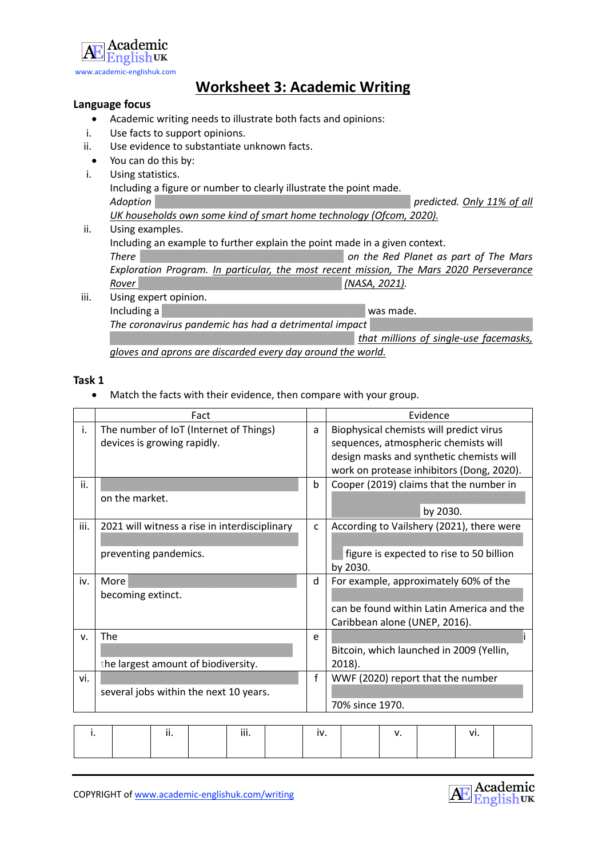

## **Worksheet 3: Academic Writing**

### **Language focus**

- Academic writing needs to illustrate both facts and opinions:
- i. Use facts to support opinions.
- ii. Use evidence to substantiate unknown facts.
- You can do this by:
- i. Using statistics. Including a figure or number to clearly illustrate the point made. *Adoption* XXXXXXXXXXXXXXXXXXXXXXXXXXXXXXXXXXXXXXXXXXXX *predicted. Only 11% of all UK households own some kind of smart home technology (Ofcom, 2020).* ii. Using examples.
- Including an example to further explain the point made in a given context. *There* XXXXXXXXXXXXXXXXXXXXXXXXXXXXXXXXXXX *on the Red Planet as part of The Mars Exploration Program. In particular, the most recent mission, The Mars 2020 Perseverance Rover* XXXXXXXXXXXXXXXXXXXXXXXXXXXXXXXXXXX *(NASA, 2021).*
- iii. Using expert opinion. Including a XXXXXXXXXXXXXXXXXXXXXXXXXXXXXXXXXXX was made. **The coronavirus pandemic has had a detrimental impact**  $that$  millions of single-use facemasks, *gloves and aprons are discarded every day around the world.*

#### **Task 1**

• Match the facts with their evidence, then compare with your group.

|      | Fact                                          |   | Evidence                                  |
|------|-----------------------------------------------|---|-------------------------------------------|
| i.   | The number of IoT (Internet of Things)        | a | Biophysical chemists will predict virus   |
|      | devices is growing rapidly.                   |   | sequences, atmospheric chemists will      |
|      |                                               |   | design masks and synthetic chemists will  |
|      |                                               |   | work on protease inhibitors (Dong, 2020). |
| ii.  |                                               | b | Cooper (2019) claims that the number in   |
|      | on the market.                                |   |                                           |
|      |                                               |   | by 2030.                                  |
| iii. | 2021 will witness a rise in interdisciplinary | C | According to Vailshery (2021), there were |
|      |                                               |   |                                           |
|      | preventing pandemics.                         |   | figure is expected to rise to 50 billion  |
|      |                                               |   | by 2030.                                  |
| iv.  | More                                          | d | For example, approximately 60% of the     |
|      | becoming extinct.                             |   |                                           |
|      |                                               |   | can be found within Latin America and the |
|      |                                               |   | Caribbean alone (UNEP, 2016).             |
| v.   | The                                           | e |                                           |
|      |                                               |   | Bitcoin, which launched in 2009 (Yellin,  |
|      | the largest amount of biodiversity.           |   | $2018$ ).                                 |
| vi.  |                                               | f | WWF (2020) report that the number         |
|      | several jobs within the next 10 years.        |   |                                           |
|      |                                               |   | 70% since 1970.                           |
|      |                                               |   |                                           |

| <br> | $\cdots$<br> | <b>IV.</b> | . .<br> |
|------|--------------|------------|---------|
|      |              |            |         |

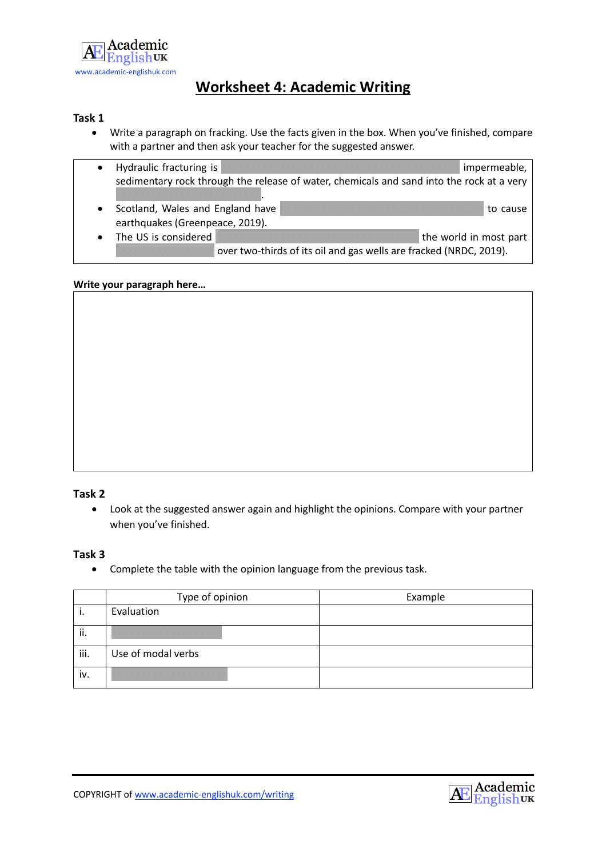

# **Worksheet 4: Academic Writing**

## **Task 1**

• Write a paragraph on fracking. Use the facts given in the box. When you've finished, compare with a partner and then ask your teacher for the suggested answer.

| Hydraulic fracturing is          |                                                                                           | impermeable,           |
|----------------------------------|-------------------------------------------------------------------------------------------|------------------------|
|                                  | sedimentary rock through the release of water, chemicals and sand into the rock at a very |                        |
|                                  |                                                                                           |                        |
| Scotland, Wales and England have |                                                                                           | to cause               |
| earthquakes (Greenpeace, 2019).  |                                                                                           |                        |
| The US is considered             |                                                                                           | the world in most part |
|                                  | over two-thirds of its oil and gas wells are fracked (NRDC, 2019).                        |                        |

### **Write your paragraph here…**

## **Task 2**

• Look at the suggested answer again and highlight the opinions. Compare with your partner when you've finished.

#### **Task 3**

• Complete the table with the opinion language from the previous task.

|      | Type of opinion    | Example |
|------|--------------------|---------|
| ٠.   | Evaluation         |         |
| ii.  |                    |         |
| iii. | Use of modal verbs |         |
| iv.  |                    |         |

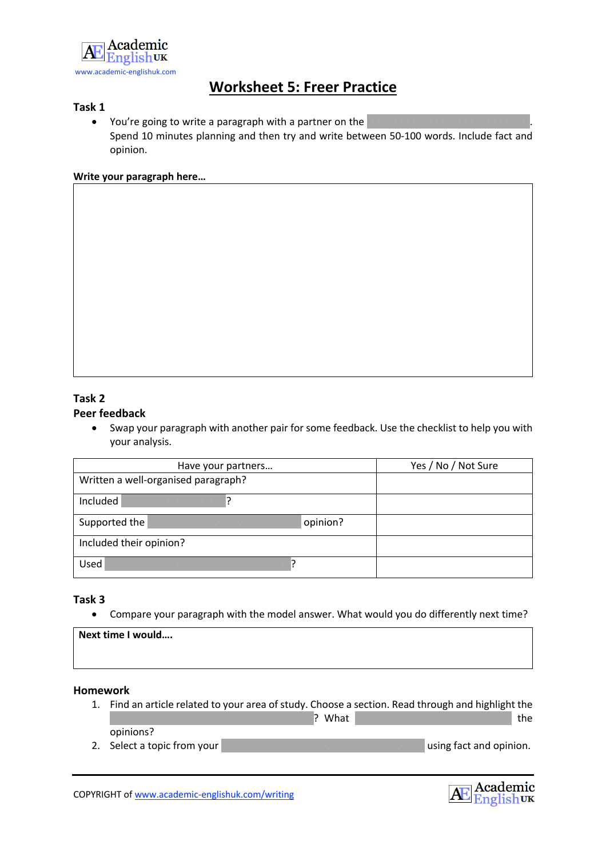

## **Worksheet 5: Freer Practice**

## **Task 1**

• You're going to write a paragraph with a partner on the Spend 10 minutes planning and then try and write between 50-100 words. Include fact and opinion.

#### **Write your paragraph here…**

## **Task 2 Peer feedback**

• Swap your paragraph with another pair for some feedback. Use the checklist to help you with your analysis.

| Have your partners                  | Yes / No / Not Sure |
|-------------------------------------|---------------------|
| Written a well-organised paragraph? |                     |
| Included                            |                     |
| opinion?<br>Supported the           |                     |
| Included their opinion?             |                     |
| Used                                |                     |

#### **Task 3**

• Compare your paragraph with the model answer. What would you do differently next time?

| Next time I would |  |  |
|-------------------|--|--|
|                   |  |  |
|                   |  |  |

## **Homework**

- 1. Find an article related to your area of study. Choose a section. Read through and highlight the XXXXXXXXXXXXXXXXXXXXXXXXXXXXXXXXXXX? What XXXXXXXXXXXXXXXXXXXXXXXXXXX the opinions?
- 2. Select a topic from your XXXXXXXXXXXXXXXXXXXXXXXXXXXXXXXXXXX using fact and opinion.